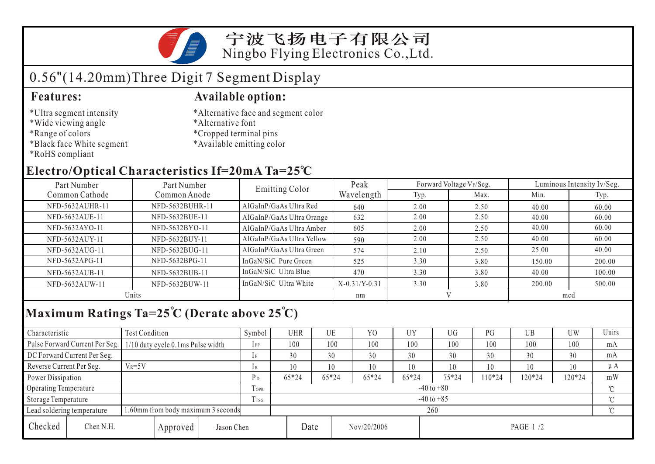宁波飞扬电子有限公司 Ningbo Flying Electronics Co.,Ltd.

# 0.56"(14.20mm)Three Digit 7 Segment Display

- \*Ultra segment intensity
- \*Wide viewing angle
- \*Range of colors
- \*Black face White segment
- \*RoHS compliant

### **Features: Available option:**

- \*Alternative face and segment color
- \*Alternative font
- \*Cropped terminal pins
- \*Available emitting color

## **Electro/Optical Characteristics If=20mA Ta=25 C**

| Part Number<br>Part Number |                 | Emitting Color            | Peak            |      | Forward Voltage VF/Seg. | Luminous Intensity Iv/Seg. |        |  |
|----------------------------|-----------------|---------------------------|-----------------|------|-------------------------|----------------------------|--------|--|
| Common Cathode             | Common Anode    |                           | Wavelength      | Typ. | Max.                    | Min.                       | Typ.   |  |
| NFD-5632AUHR-11            | NFD-5632BUHR-11 | AlGaInP/GaAs Ultra Red    | 640             | 2.00 | 2.50                    | 40.00                      | 60.00  |  |
| NFD-5632AUE-11             | NFD-5632BUE-11  | AlGaInP/GaAs Ultra Orange | 632             | 2.00 | 2.50                    | 40.00                      | 60.00  |  |
| NFD-5632AYO-11             | NFD-5632BYO-11  | AlGaInP/GaAs Ultra Amber  | 605             | 2.00 | 2.50                    | 40.00                      | 60.00  |  |
| NFD-5632AUY-11             | NFD-5632BUY-11  | AlGaInP/GaAs Ultra Yellow | 590             | 2.00 | 2.50                    | 40.00                      | 60.00  |  |
| NFD-5632AUG-11             | NFD-5632BUG-11  | AlGaInP/GaAs Ultra Green  | 574             | 2.10 | 2.50                    | 25.00                      | 40.00  |  |
| NFD-5632APG-11             | NFD-5632BPG-11  | InGaN/SiC Pure Green      | 525             | 3.30 | 3.80                    | 150.00                     | 200.00 |  |
| NFD-5632AUB-11             | NFD-5632BUB-11  | InGaN/SiC Ultra Blue      | 470             | 3.30 | 3.80                    | 40.00                      | 100.00 |  |
| NFD-5632AUW-11             | NFD-5632BUW-11  | InGaN/SiC Ultra White     | $X-0.31/Y-0.31$ | 3.30 | 3.80                    | 200.00                     | 500.00 |  |
| Units                      |                 |                           | nm              |      |                         | mcd                        |        |  |

# **Maximum Ratings Ta=25 C (Derate above 25 C)**

| Characteristic                                                   |                                | <b>Test Condition</b>               |          |                | Symbol         | <b>UHR</b> |         | UE    | Y <sub>0</sub> | <b>UY</b> | UG       | PG     | UB       | <b>UW</b> | Units |
|------------------------------------------------------------------|--------------------------------|-------------------------------------|----------|----------------|----------------|------------|---------|-------|----------------|-----------|----------|--------|----------|-----------|-------|
|                                                                  | Pulse Forward Current Per Seg. | $1/10$ duty cycle 0.1ms Pulse width |          |                | $1$ FP         | 100        |         | 100   | 100            | 100       | 100      | 100    | 100      | 100       | mA    |
| DC Forward Current Per Seg.                                      |                                |                                     |          | 1F             | 30             |            | 30      | 30    | 30             | 30        | 30       | 30     | 30       | mA        |       |
| Reverse Current Per Seg.                                         |                                | $V_R = 5V$                          |          |                | 1 R            | 10         |         | 10    | 10             | 10        | 10       | 10     | 10       | 10        | μA    |
| Power Dissipation                                                |                                |                                     | $P_D$    | $65*24$        |                | $65*24$    | $65*24$ | 65*24 | 75*24          | 10*24     | 120*24   | 120*24 | mW       |           |       |
| <b>Operating Temperature</b>                                     |                                |                                     |          | <b>TOPR</b>    | $-40$ to $+80$ |            |         |       |                |           |          |        |          | $\gamma$  |       |
| Storage Temperature                                              |                                |                                     | Trsg     | $-40$ to $+85$ |                |            |         |       |                |           |          |        | $\gamma$ |           |       |
| 1.60mm from body maximum 3 seconds<br>Lead soldering temperature |                                |                                     |          |                | 260            |            |         |       |                |           |          |        |          |           |       |
| Checked                                                          | Chen N.H.                      |                                     | Approved | Jason Chen     |                |            | Date    |       | Nov/20/2006    |           | PAGE 1/2 |        |          |           |       |